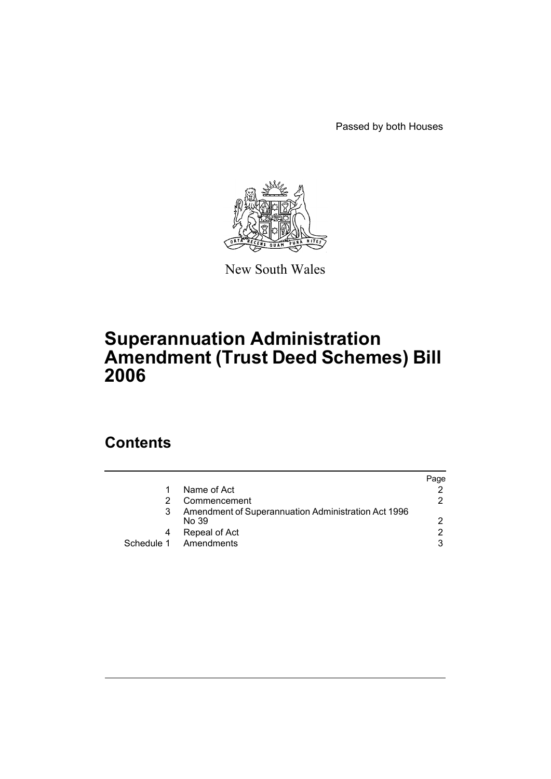Passed by both Houses



New South Wales

## **Superannuation Administration Amendment (Trust Deed Schemes) Bill 2006**

## **Contents**

|                                                              | Page |
|--------------------------------------------------------------|------|
| Name of Act                                                  |      |
| Commencement                                                 | 2    |
| Amendment of Superannuation Administration Act 1996<br>No 39 | 2    |
| Repeal of Act                                                | 2    |
| Schedule 1 Amendments                                        | 3    |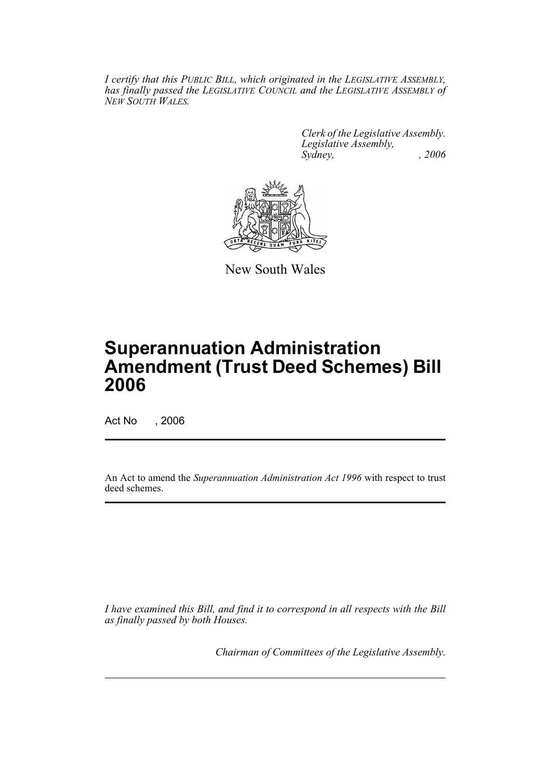*I certify that this PUBLIC BILL, which originated in the LEGISLATIVE ASSEMBLY, has finally passed the LEGISLATIVE COUNCIL and the LEGISLATIVE ASSEMBLY of NEW SOUTH WALES.*

> *Clerk of the Legislative Assembly. Legislative Assembly, Sydney, , 2006*



New South Wales

# **Superannuation Administration Amendment (Trust Deed Schemes) Bill 2006**

Act No , 2006

An Act to amend the *Superannuation Administration Act 1996* with respect to trust deed schemes.

*I have examined this Bill, and find it to correspond in all respects with the Bill as finally passed by both Houses.*

*Chairman of Committees of the Legislative Assembly.*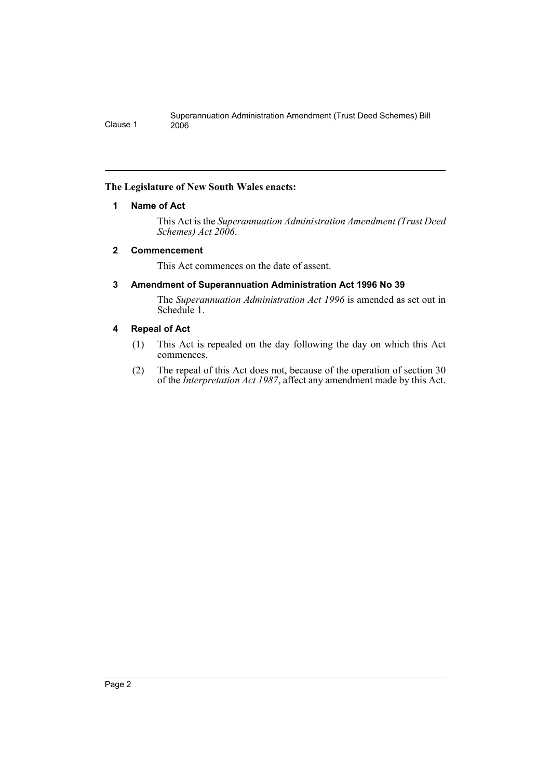#### **The Legislature of New South Wales enacts:**

#### **1 Name of Act**

This Act is the *Superannuation Administration Amendment (Trust Deed Schemes) Act 2006*.

#### **2 Commencement**

This Act commences on the date of assent.

#### **3 Amendment of Superannuation Administration Act 1996 No 39**

The *Superannuation Administration Act 1996* is amended as set out in Schedule 1.

#### **4 Repeal of Act**

- (1) This Act is repealed on the day following the day on which this Act commences.
- (2) The repeal of this Act does not, because of the operation of section 30 of the *Interpretation Act 1987*, affect any amendment made by this Act.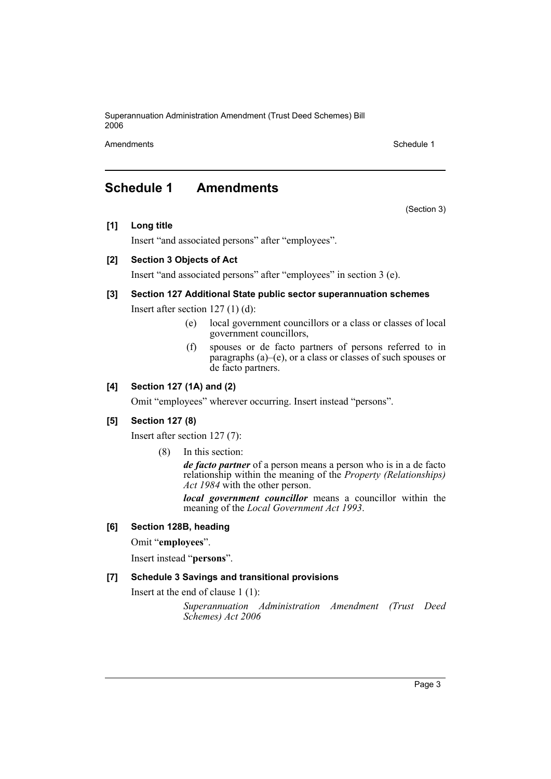Superannuation Administration Amendment (Trust Deed Schemes) Bill 2006

Amendments **Schedule 1** and the set of the set of the set of the set of the set of the set of the set of the set of the set of the set of the set of the set of the set of the set of the set of the set of the set of the set

(Section 3)

### **Schedule 1 Amendments**

**[1] Long title**

Insert "and associated persons" after "employees".

#### **[2] Section 3 Objects of Act**

Insert "and associated persons" after "employees" in section 3 (e).

#### **[3] Section 127 Additional State public sector superannuation schemes**

Insert after section 127 (1) (d):

- (e) local government councillors or a class or classes of local government councillors,
- (f) spouses or de facto partners of persons referred to in paragraphs (a)–(e), or a class or classes of such spouses or de facto partners.

#### **[4] Section 127 (1A) and (2)**

Omit "employees" wherever occurring. Insert instead "persons".

#### **[5] Section 127 (8)**

Insert after section 127 (7):

(8) In this section:

*de facto partner* of a person means a person who is in a de facto relationship within the meaning of the *Property (Relationships) Act 1984* with the other person.

*local government councillor* means a councillor within the meaning of the *Local Government Act 1993*.

#### **[6] Section 128B, heading**

Omit "**employees**".

Insert instead "**persons**".

#### **[7] Schedule 3 Savings and transitional provisions**

Insert at the end of clause 1 (1):

*Superannuation Administration Amendment (Trust Deed Schemes) Act 2006*